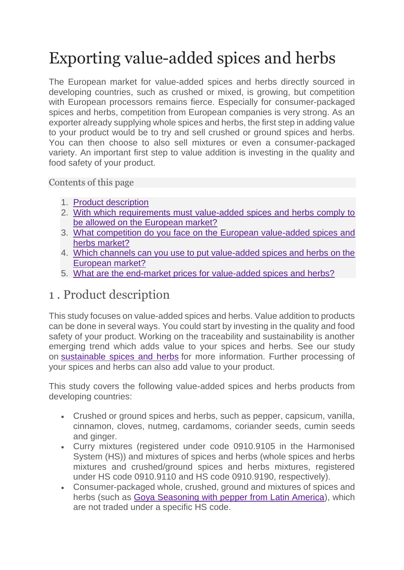# Exporting value-added spices and herbs

The European market for value-added spices and herbs directly sourced in developing countries, such as crushed or mixed, is growing, but competition with European processors remains fierce. Especially for consumer-packaged spices and herbs, competition from European companies is very strong. As an exporter already supplying whole spices and herbs, the first step in adding value to your product would be to try and sell crushed or ground spices and herbs. You can then choose to also sell mixtures or even a consumer-packaged variety. An important first step to value addition is investing in the quality and food safety of your product.

# Contents of this page

- 1. [Product description](https://www.cbi.eu/market-information/spices-herbs/value-added-spices-herbs#product-description)
- 2. [With which requirements must value-added spices and herbs comply to](https://www.cbi.eu/market-information/spices-herbs/value-added-spices-herbs#with-which-requirements-must-value-added-spices-and-herbs-comply-to-be-allowed-on-the-european-market-)  [be allowed on the European market?](https://www.cbi.eu/market-information/spices-herbs/value-added-spices-herbs#with-which-requirements-must-value-added-spices-and-herbs-comply-to-be-allowed-on-the-european-market-)
- 3. [What competition do you face on the European value-added spices and](https://www.cbi.eu/market-information/spices-herbs/value-added-spices-herbs#what-competition-do-you-face-on-the-european-value-added-spices-and-herbs-market-)  [herbs market?](https://www.cbi.eu/market-information/spices-herbs/value-added-spices-herbs#what-competition-do-you-face-on-the-european-value-added-spices-and-herbs-market-)
- 4. [Which channels can you use to put value-added spices and herbs on the](https://www.cbi.eu/market-information/spices-herbs/value-added-spices-herbs#which-channels-can-you-use-to-put-value-added-spices-and-herbs-on-the-european-market-)  [European market?](https://www.cbi.eu/market-information/spices-herbs/value-added-spices-herbs#which-channels-can-you-use-to-put-value-added-spices-and-herbs-on-the-european-market-)
- 5. [What are the end-market prices for value-added spices and herbs?](https://www.cbi.eu/market-information/spices-herbs/value-added-spices-herbs#what-are-the-end-market-prices-for-value-added-spices-and-herbs-)

# 1 . Product description

This study focuses on value-added spices and herbs. Value addition to products can be done in several ways. You could start by investing in the quality and food safety of your product. Working on the traceability and sustainability is another emerging trend which adds value to your spices and herbs. See our study on [sustainable spices and herbs](https://www.cbi.eu/market-information/spices-herbs/sustainable-spices-herbs/europe/) for more information. Further processing of your spices and herbs can also add value to your product.

This study covers the following value-added spices and herbs products from developing countries:

- Crushed or ground spices and herbs, such as pepper, capsicum, vanilla, cinnamon, cloves, nutmeg, cardamoms, coriander seeds, cumin seeds and ginger.
- Curry mixtures (registered under code 0910.9105 in the Harmonised System (HS)) and mixtures of spices and herbs (whole spices and herbs mixtures and crushed/ground spices and herbs mixtures, registered under HS code 0910.9110 and HS code 0910.9190, respectively).
- Consumer-packaged whole, crushed, ground and mixtures of spices and herbs (such as [Goya Seasoning with pepper from Latin America\)](https://www.orientalwebshop.nl/kruiden-en-specerijen/kruidenmix/goya-seasoning-with-pepper-312g), which are not traded under a specific HS code.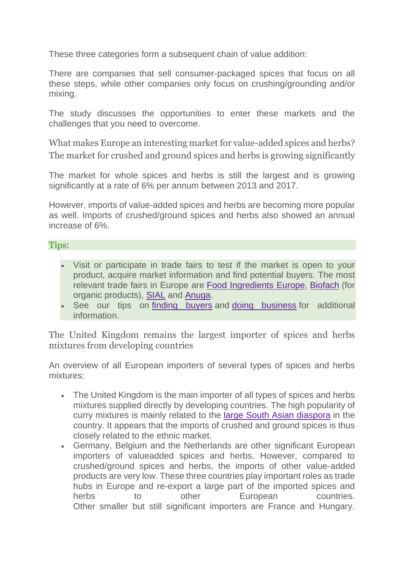These three categories form a subsequent chain of value addition:

There are companies that sell consumer-packaged spices that focus on all these steps, while other companies only focus on crushing/grounding and/or mixing.

The study discusses the opportunities to enter these markets and the challenges that you need to overcome.

What makes Europe an interesting market for value-added spices and herbs? The market for crushed and ground spices and herbs is growing significantly

The market for whole spices and herbs is still the largest and is growing significantly at a rate of 6% per annum between 2013 and 2017.

However, imports of value-added spices and herbs are becoming more popular as well. Imports of crushed/ground spices and herbs also showed an annual increase of 6%.

## Tips:

- Visit or participate in trade fairs to test if the market is open to your product, acquire market information and find potential buyers. The most relevant trade fairs in Europe are [Food Ingredients Europe,](https://www.figlobal.com/fieurope/) [Biofach](http://www.biofach.de/en) (for organic products), [SIAL](http://www.sialparis.com/) and [Anuga.](http://www.anuga.com/anuga/index-2.php)
- See our tips on [finding buyers](https://www.cbi.eu/market-information/spices-herbs/finding-buyers/) and [doing business](https://www.cbi.eu/market-information/spices-herbs/doing-business/) for additional information.

The United Kingdom remains the largest importer of spices and herbs mixtures from developing countries

An overview of all European importers of several types of spices and herbs mixtures:

- The United Kingdom is the main importer of all types of spices and herbs mixtures supplied directly by developing countries. The high popularity of curry mixtures is mainly related to the [large South Asian diaspora](http://www.nriol.com/indiandiaspora/uk-indians.asp) in the country. It appears that the imports of crushed and ground spices is thus closely related to the ethnic market.
- Germany, Belgium and the Netherlands are other significant European importers of valueadded spices and herbs. However, compared to crushed/ground spices and herbs, the imports of other value-added products are very low. These three countries play important roles as trade hubs in Europe and re-export a large part of the imported spices and herbs to other European countries. Other smaller but still significant importers are France and Hungary.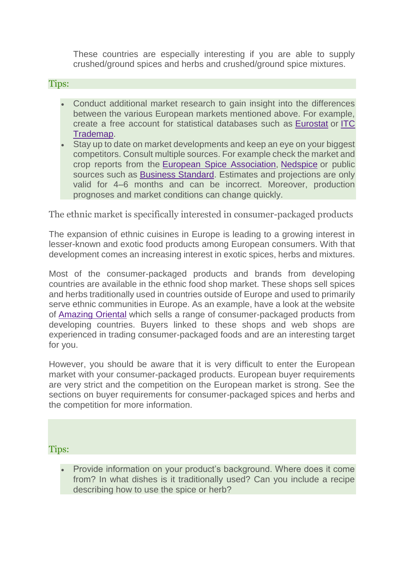These countries are especially interesting if you are able to supply crushed/ground spices and herbs and crushed/ground spice mixtures.

# Tips:

- Conduct additional market research to gain insight into the differences between the various European markets mentioned above. For example, create a free account for statistical databases such as [Eurostat](http://epp.eurostat.ec.europa.eu/newxtweb/) or [ITC](http://www.trademap.org/Index.aspx)  [Trademap.](http://www.trademap.org/Index.aspx)
- Stay up to date on market developments and keep an eye on your biggest competitors. Consult multiple sources. For example check the market and crop reports from the [European Spice Association,](http://www.esa-spices.org/) [Nedspice](http://www.nedspice.com/news) or public sources such as [Business Standard.](http://www.business-standard.com/category/markets-commodities-food-edible-oils-1060804.htm) Estimates and projections are only valid for 4–6 months and can be incorrect. Moreover, production prognoses and market conditions can change quickly.

The ethnic market is specifically interested in consumer-packaged products

The expansion of ethnic cuisines in Europe is leading to a growing interest in lesser-known and exotic food products among European consumers. With that development comes an increasing interest in exotic spices, herbs and mixtures.

Most of the consumer-packaged products and brands from developing countries are available in the ethnic food shop market. These shops sell spices and herbs traditionally used in countries outside of Europe and used to primarily serve ethnic communities in Europe. As an example, have a look at the website of [Amazing Oriental](https://amazingoriental.com/) which sells a range of consumer-packaged products from developing countries. Buyers linked to these shops and web shops are experienced in trading consumer-packaged foods and are an interesting target for you.

However, you should be aware that it is very difficult to enter the European market with your consumer-packaged products. European buyer requirements are very strict and the competition on the European market is strong. See the sections on buyer requirements for consumer-packaged spices and herbs and the competition for more information.

## Tips:

• Provide information on your product's background. Where does it come from? In what dishes is it traditionally used? Can you include a recipe describing how to use the spice or herb?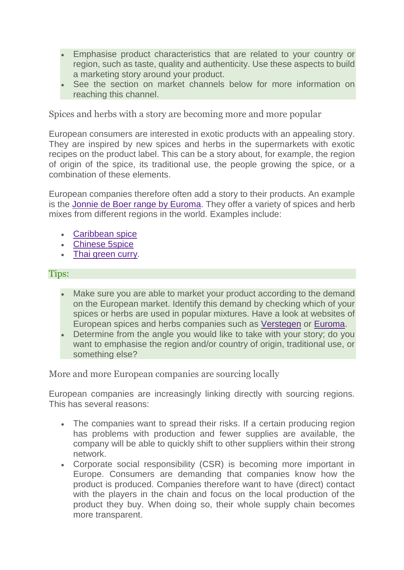- Emphasise product characteristics that are related to your country or region, such as taste, quality and authenticity. Use these aspects to build a marketing story around your product.
- See the section on market channels below for more information on reaching this channel.

Spices and herbs with a story are becoming more and more popular

European consumers are interested in exotic products with an appealing story. They are inspired by new spices and herbs in the supermarkets with exotic recipes on the product label. This can be a story about, for example, the region of origin of the spice, its traditional use, the people growing the spice, or a combination of these elements.

European companies therefore often add a story to their products. An example is the Jonnie de [Boer range by Euroma.](https://www.euroma.nl/original-spices/) They offer a variety of spices and herb mixes from different regions in the world. Examples include:

- [Caribbean spice](https://www.euroma.nl/original-spices/caribbean-spice/)
- [Chinese 5spice](https://www.euroma.nl/original-spices/chinese-5-spice/)
- [Thai green curry.](https://www.euroma.nl/original-spices/thai-green-curry/)

## Tips:

- Make sure you are able to market your product according to the demand on the European market. Identify this demand by checking which of your spices or herbs are used in popular mixtures. Have a look at websites of European spices and herbs companies such as [Verstegen](http://www.verstegen.eu/en/nl/verstegen-consumer.html) or [Euroma.](http://www.euroma.com/en)
- Determine from the angle you would like to take with your story; do you want to emphasise the region and/or country of origin, traditional use, or something else?

More and more European companies are sourcing locally

European companies are increasingly linking directly with sourcing regions. This has several reasons:

- The companies want to spread their risks. If a certain producing region has problems with production and fewer supplies are available, the company will be able to quickly shift to other suppliers within their strong network.
- Corporate social responsibility (CSR) is becoming more important in Europe. Consumers are demanding that companies know how the product is produced. Companies therefore want to have (direct) contact with the players in the chain and focus on the local production of the product they buy. When doing so, their whole supply chain becomes more transparent.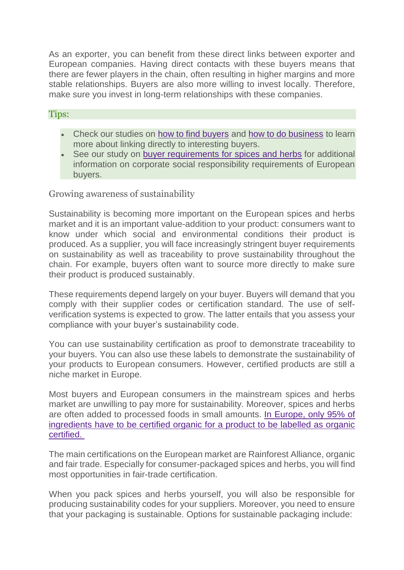As an exporter, you can benefit from these direct links between exporter and European companies. Having direct contacts with these buyers means that there are fewer players in the chain, often resulting in higher margins and more stable relationships. Buyers are also more willing to invest locally. Therefore, make sure you invest in long-term relationships with these companies.

## Tips:

- Check our studies on [how to find buyers](https://www.cbi.eu/market-information/spices-herbs/finding-buyers/) and [how to do business](https://www.cbi.eu/market-information/spices-herbs/doing-business/) to learn more about linking directly to interesting buyers.
- See our study on [buyer requirements for spices and herbs](https://www.cbi.eu/market-information/spices-herbs/buyer-requirements/) for additional information on corporate social responsibility requirements of European buyers.

Growing awareness of sustainability

Sustainability is becoming more important on the European spices and herbs market and it is an important value-addition to your product: consumers want to know under which social and environmental conditions their product is produced. As a supplier, you will face increasingly stringent buyer requirements on sustainability as well as traceability to prove sustainability throughout the chain. For example, buyers often want to source more directly to make sure their product is produced sustainably.

These requirements depend largely on your buyer. Buyers will demand that you comply with their supplier codes or certification standard. The use of selfverification systems is expected to grow. The latter entails that you assess your compliance with your buyer's sustainability code.

You can use sustainability certification as proof to demonstrate traceability to your buyers. You can also use these labels to demonstrate the sustainability of your products to European consumers. However, certified products are still a niche market in Europe.

Most buyers and European consumers in the mainstream spices and herbs market are unwilling to pay more for sustainability. Moreover, spices and herbs are often added to processed foods in small amounts. [In Europe, only 95% of](https://ec.europa.eu/agriculture/organic/eu-policy/eu-legislation/brief-overview_en)  [ingredients have to be certified organic for a product to be labelled as organic](https://ec.europa.eu/agriculture/organic/eu-policy/eu-legislation/brief-overview_en)  [certified.](https://ec.europa.eu/agriculture/organic/eu-policy/eu-legislation/brief-overview_en)

The main certifications on the European market are Rainforest Alliance, organic and fair trade. Especially for consumer-packaged spices and herbs, you will find most opportunities in fair-trade certification.

When you pack spices and herbs yourself, you will also be responsible for producing sustainability codes for your suppliers. Moreover, you need to ensure that your packaging is sustainable. Options for sustainable packaging include: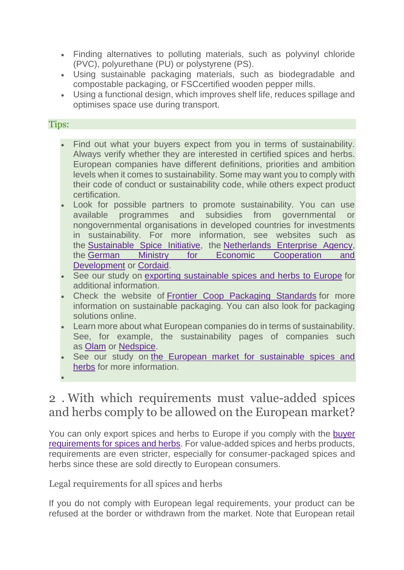- Finding alternatives to polluting materials, such as polyvinyl chloride (PVC), polyurethane (PU) or polystyrene (PS).
- Using sustainable packaging materials, such as biodegradable and compostable packaging, or FSCcertified wooden pepper mills.
- Using a functional design, which improves shelf life, reduces spillage and optimises space use during transport.

# Tips:

- Find out what your buyers expect from you in terms of sustainability. Always verify whether they are interested in certified spices and herbs. European companies have different definitions, priorities and ambition levels when it comes to sustainability. Some may want you to comply with their code of conduct or sustainability code, while others expect product certification.
- Look for possible partners to promote sustainability. You can use available programmes and subsidies from governmental or nongovernmental organisations in developed countries for investments in sustainability. For more information, see websites such as the [Sustainable Spice Initiative,](http://www.sustainablespicesinitiative.com/en/ssi-download) the [Netherlands Enterprise Agency,](http://english.rvo.nl/subsidies-programmes) the [German Ministry for Economic Cooperation and](http://www.developpp.de/en)  [Development](http://www.developpp.de/en) or [Cordaid.](https://www.cordaid.org/en/projects/spices-producer-support-investment-fund/107946/)
- See our study on [exporting sustainable spices and herbs to Europe](https://www.cbi.eu/market-information/spices-herbs/sustainable-spices-herbs/) for additional information.
- Check the website of [Frontier Coop Packaging Standards](http://sustainability.frontiercoop.com/frontierpackagingstandards.html) for more information on sustainable packaging. You can also look for packaging solutions online.
- Learn more about what European companies do in terms of sustainability. See, for example, the sustainability pages of companies such as [Olam](http://olamgroup.com/sustainability/) or [Nedspice.](http://www.nedspice.com/sustainability-issues-in-spices)
- See our study on the European market for sustainable spices and [herbs](https://www.cbi.eu/market-information/spices-herbs/sustainable-spices-herbs/europe/) for more information.
- •

# 2 . With which requirements must value-added spices and herbs comply to be allowed on the European market?

You can only export spices and herbs to Europe if you comply with the [buyer](https://www.cbi.eu/market-information/spices-herbs/buyer-requirements/)  [requirements for spices and herbs.](https://www.cbi.eu/market-information/spices-herbs/buyer-requirements/) For value-added spices and herbs products, requirements are even stricter, especially for consumer-packaged spices and herbs since these are sold directly to European consumers.

# Legal requirements for all spices and herbs

If you do not comply with European legal requirements, your product can be refused at the border or withdrawn from the market. Note that European retail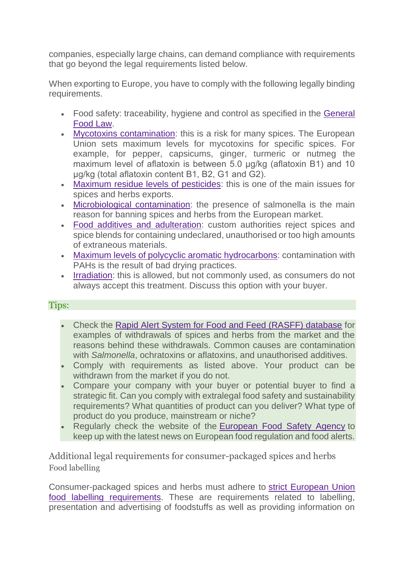companies, especially large chains, can demand compliance with requirements that go beyond the legal requirements listed below.

When exporting to Europe, you have to comply with the following legally binding requirements.

- Food safety: traceability, hygiene and control as specified in the [General](http://ec.europa.eu/food/food/foodlaw/index_en.htm)  [Food Law.](http://ec.europa.eu/food/food/foodlaw/index_en.htm)
- [Mycotoxins contamination:](http://trade.ec.europa.eu/tradehelp/) this is a risk for many spices. The European Union sets maximum levels for mycotoxins for specific spices. For example, for pepper, capsicums, ginger, turmeric or nutmeg the maximum level of aflatoxin is between 5.0 µg/kg (aflatoxin B1) and 10 μg/kg (total aflatoxin content B1, B2, G1 and G2).
- [Maximum residue levels of pesticides:](http://ec.europa.eu/food/plant/pesticides/eu-pesticides-database/public/?event=homepage&language=EN) this is one of the main issues for spices and herbs exports.
- [Microbiological contamination:](http://trade.ec.europa.eu/tradehelp/) the presence of salmonella is the main reason for banning spices and herbs from the European market.
- [Food additives and adulteration:](https://ec.europa.eu/food/safety/food_improvement_agents/additives_en) custom authorities reject spices and spice blends for containing undeclared, unauthorised or too high amounts of extraneous materials.
- [Maximum levels of polycyclic aromatic hydrocarbons:](https://ec.europa.eu/jrc/en/eurl/pahs/legislation) contamination with PAHs is the result of bad drying practices.
- [Irradiation:](https://ec.europa.eu/food/safety/biosafety/irradiation_en) this is allowed, but not commonly used, as consumers do not always accept this treatment. Discuss this option with your buyer.

# Tips:

- Check the [Rapid Alert System for Food and Feed \(RASFF\) database](https://webgate.ec.europa.eu/rasff-window/portal/) for examples of withdrawals of spices and herbs from the market and the reasons behind these withdrawals. Common causes are contamination with *Salmonella*, ochratoxins or aflatoxins, and unauthorised additives.
- Comply with requirements as listed above. Your product can be withdrawn from the market if you do not.
- Compare your company with your buyer or potential buyer to find a strategic fit. Can you comply with extralegal food safety and sustainability requirements? What quantities of product can you deliver? What type of product do you produce, mainstream or niche?
- Regularly check the website of the [European Food Safety Agency](http://www.efsa.europa.eu/en/topics.htm) to keep up with the latest news on European food regulation and food alerts.

Additional legal requirements for consumer-packaged spices and herbs Food labelling

Consumer-packaged spices and herbs must adhere to [strict European Union](http://ec.europa.eu/food/safety/labelling_nutrition/labelling_legislation_en)  [food labelling requirements.](http://ec.europa.eu/food/safety/labelling_nutrition/labelling_legislation_en) These are requirements related to labelling, presentation and advertising of foodstuffs as well as providing information on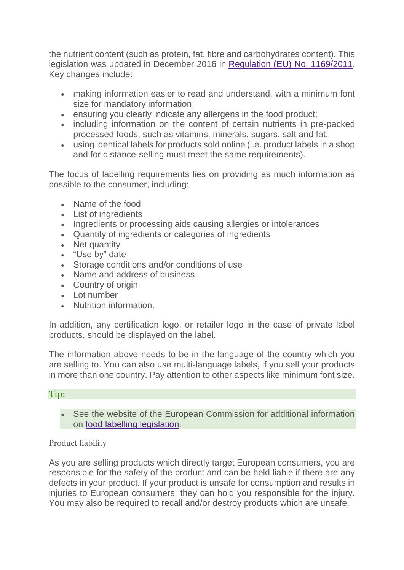the nutrient content (such as protein, fat, fibre and carbohydrates content). This legislation was updated in December 2016 in [Regulation \(EU\) No. 1169/2011.](http://eur-lex.europa.eu/legal-content/en/ALL/?uri=CELEX:32011R1169) Key changes include:

- making information easier to read and understand, with a minimum font size for mandatory information;
- ensuring you clearly indicate any allergens in the food product;
- including information on the content of certain nutrients in pre-packed processed foods, such as vitamins, minerals, sugars, salt and fat;
- using identical labels for products sold online (i.e. product labels in a shop and for distance-selling must meet the same requirements).

The focus of labelling requirements lies on providing as much information as possible to the consumer, including:

- Name of the food
- List of ingredients
- Ingredients or processing aids causing allergies or intolerances
- Quantity of ingredients or categories of ingredients
- Net quantity
- "Use by" date
- Storage conditions and/or conditions of use
- Name and address of business
- Country of origin
- Lot number
- Nutrition information.

In addition, any certification logo, or retailer logo in the case of private label products, should be displayed on the label.

The information above needs to be in the language of the country which you are selling to. You can also use multi-language labels, if you sell your products in more than one country. Pay attention to other aspects like minimum font size.

## Tip:

See the website of the European Commission for additional information on [food labelling legislation.](http://ec.europa.eu/food/safety/labelling_nutrition/labelling_legislation_en)

## Product liability

As you are selling products which directly target European consumers, you are responsible for the safety of the product and can be held liable if there are any defects in your product. If your product is unsafe for consumption and results in injuries to European consumers, they can hold you responsible for the injury. You may also be required to recall and/or destroy products which are unsafe.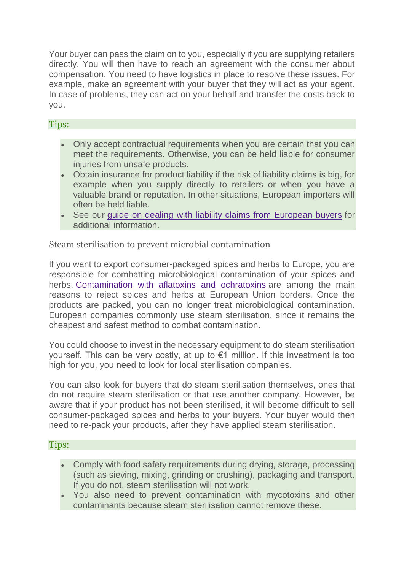Your buyer can pass the claim on to you, especially if you are supplying retailers directly. You will then have to reach an agreement with the consumer about compensation. You need to have logistics in place to resolve these issues. For example, make an agreement with your buyer that they will act as your agent. In case of problems, they can act on your behalf and transfer the costs back to you.

# Tips:

- Only accept contractual requirements when you are certain that you can meet the requirements. Otherwise, you can be held liable for consumer injuries from unsafe products.
- Obtain insurance for product liability if the risk of liability claims is big, for example when you supply directly to retailers or when you have a valuable brand or reputation. In other situations, European importers will often be held liable.
- See our quide on dealing with liability claims from European buyers for additional information.

Steam sterilisation to prevent microbial contamination

If you want to export consumer-packaged spices and herbs to Europe, you are responsible for combatting microbiological contamination of your spices and herbs. [Contamination with aflatoxins and ochratoxins](https://webgate.ec.europa.eu/rasff-window/portal/?event=searchResultList) are among the main reasons to reject spices and herbs at European Union borders. Once the products are packed, you can no longer treat microbiological contamination. European companies commonly use steam sterilisation, since it remains the cheapest and safest method to combat contamination.

You could choose to invest in the necessary equipment to do steam sterilisation yourself. This can be very costly, at up to €1 million. If this investment is too high for you, you need to look for local sterilisation companies.

You can also look for buyers that do steam sterilisation themselves, ones that do not require steam sterilisation or that use another company. However, be aware that if your product has not been sterilised, it will become difficult to sell consumer-packaged spices and herbs to your buyers. Your buyer would then need to re-pack your products, after they have applied steam sterilisation.

- Comply with food safety requirements during drying, storage, processing (such as sieving, mixing, grinding or crushing), packaging and transport. If you do not, steam sterilisation will not work.
- You also need to prevent contamination with mycotoxins and other contaminants because steam sterilisation cannot remove these.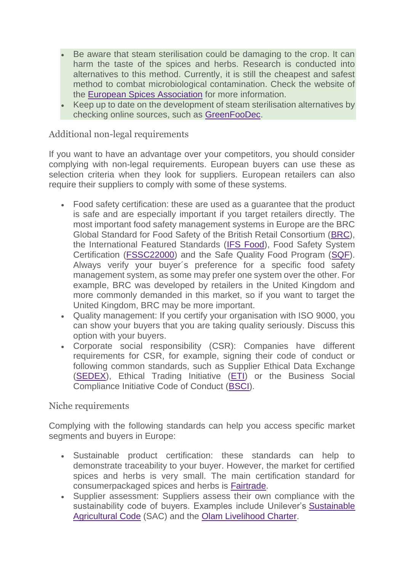- Be aware that steam sterilisation could be damaging to the crop. It can harm the taste of the spices and herbs. Research is conducted into alternatives to this method. Currently, it is still the cheapest and safest method to combat microbiological contamination. Check the website of the [European Spices Association](https://www.esa-spices.org/index-esa.html/publications-esa) for more information.
- Keep up to date on the development of steam sterilisation alternatives by checking online sources, such as [GreenFooDec.](http://www.greenfoodec.eu/)

# Additional non-legal requirements

If you want to have an advantage over your competitors, you should consider complying with non-legal requirements. European buyers can use these as selection criteria when they look for suppliers. European retailers can also require their suppliers to comply with some of these systems.

- Food safety certification: these are used as a guarantee that the product is safe and are especially important if you target retailers directly. The most important food safety management systems in Europe are the BRC Global Standard for Food Safety of the British Retail Consortium [\(BRC\)](http://www.standardsmap.org/review.aspx?standards=4), the International Featured Standards [\(IFS Food\)](http://standardsmap.org/quick-scan?standards=167&shortlist=167&product=Any&origin=Any&market=Any&cbi=), Food Safety System Certification [\(FSSC22000\)](http://www.standardsmap.org/review.aspx?standards=26) and the Safe Quality Food Program [\(SQF\)](http://www.standardsmap.org/review.aspx?standards=61). Always verify your buyer´s preference for a specific food safety management system, as some may prefer one system over the other. For example, BRC was developed by retailers in the United Kingdom and more commonly demanded in this market, so if you want to target the United Kingdom, BRC may be more important.
- Quality management: If you certify your organisation with ISO 9000, you can show your buyers that you are taking quality seriously. Discuss this option with your buyers.
- Corporate social responsibility (CSR): Companies have different requirements for CSR, for example, signing their code of conduct or following common standards, such as Supplier Ethical Data Exchange [\(SEDEX\)](http://www.standardsmap.org/quick-scan?standards=264&shortlist=264&product=Any&origin=Any&market=Any&cbi=), Ethical Trading Initiative [\(ETI\)](http://www.ethicaltrade.org/about-eti) or the Business Social Compliance Initiative Code of Conduct [\(BSCI\)](http://www.amfori.org/content/what-we-do-0).

## Niche requirements

Complying with the following standards can help you access specific market segments and buyers in Europe:

- Sustainable product certification: these standards can help to demonstrate traceability to your buyer. However, the market for certified spices and herbs is very small. The main certification standard for consumerpackaged spices and herbs is [Fairtrade.](http://www.standardsmap.org/review.aspx?standards=71,205)
- Supplier assessment: Suppliers assess their own compliance with the sustainability code of buyers. Examples include Unilever's [Sustainable](https://www.unilever.com/sustainable-living/the-sustainable-living-plan/reducing-environmental-impact/sustainable-sourcing/our-approach-to-sustainable-sourcing/our-sustainable-agriculture-programme.html)  [Agricultural Code](https://www.unilever.com/sustainable-living/the-sustainable-living-plan/reducing-environmental-impact/sustainable-sourcing/our-approach-to-sustainable-sourcing/our-sustainable-agriculture-programme.html) (SAC) and the [Olam Livelihood Charter.](http://olamgroup.com/sustainability/olam-livelihood-charter)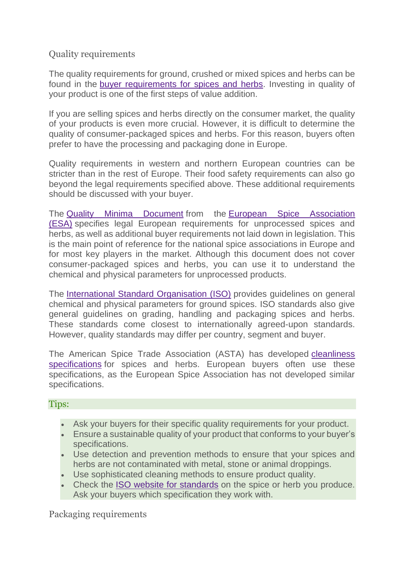# Quality requirements

The quality requirements for ground, crushed or mixed spices and herbs can be found in the [buyer requirements for spices and herbs.](https://www.cbi.eu/market-information/spices-herbs/buyer-requirements/) Investing in quality of your product is one of the first steps of value addition.

If you are selling spices and herbs directly on the consumer market, the quality of your products is even more crucial. However, it is difficult to determine the quality of consumer-packaged spices and herbs. For this reason, buyers often prefer to have the processing and packaging done in Europe.

Quality requirements in western and northern European countries can be stricter than in the rest of Europe. Their food safety requirements can also go beyond the legal requirements specified above. These additional requirements should be discussed with your buyer.

The [Quality Minima Document](https://www.esa-spices.org/index-esa.html/publications-esa) from the [European Spice Association](http://www.esa-spices.org/)  [\(ESA\)](http://www.esa-spices.org/) specifies legal European requirements for unprocessed spices and herbs, as well as additional buyer requirements not laid down in legislation. This is the main point of reference for the national spice associations in Europe and for most key players in the market. Although this document does not cover consumer-packaged spices and herbs, you can use it to understand the chemical and physical parameters for unprocessed products.

The [International Standard Organisation \(ISO\)](http://www.iso.org/iso/home/store/catalogue_tc/catalogue_tc_browse.htm?commid=47912) provides guidelines on general chemical and physical parameters for ground spices. ISO standards also give general guidelines on grading, handling and packaging spices and herbs. These standards come closest to internationally agreed-upon standards. However, quality standards may differ per country, segment and buyer.

The American Spice Trade Association (ASTA) has developed [cleanliness](http://www.astaspice.org/food-safety/cleanliness-specifications/)  [specifications](http://www.astaspice.org/food-safety/cleanliness-specifications/) for spices and herbs. European buyers often use these specifications, as the European Spice Association has not developed similar specifications.

## Tips:

- Ask your buyers for their specific quality requirements for your product.
- Ensure a sustainable quality of your product that conforms to your buyer's specifications.
- Use detection and prevention methods to ensure that your spices and herbs are not contaminated with metal, stone or animal droppings.
- Use sophisticated cleaning methods to ensure product quality.
- Check the [ISO website for standards](http://www.iso.org/iso/home/store/catalogue_tc/catalogue_tc_browse.htm?commid=47912) on the spice or herb you produce. Ask your buyers which specification they work with.

Packaging requirements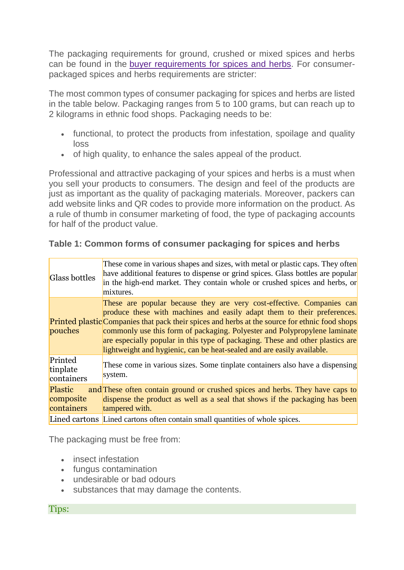The packaging requirements for ground, crushed or mixed spices and herbs can be found in the [buyer requirements for spices and herbs.](https://www.cbi.eu/market-information/spices-herbs/buyer-requirements/) For consumerpackaged spices and herbs requirements are stricter:

The most common types of consumer packaging for spices and herbs are listed in the table below. Packaging ranges from 5 to 100 grams, but can reach up to 2 kilograms in ethnic food shops. Packaging needs to be:

- functional, to protect the products from infestation, spoilage and quality loss
- of high quality, to enhance the sales appeal of the product.

Professional and attractive packaging of your spices and herbs is a must when you sell your products to consumers. The design and feel of the products are just as important as the quality of packaging materials. Moreover, packers can add website links and QR codes to provide more information on the product. As a rule of thumb in consumer marketing of food, the type of packaging accounts for half of the product value.

# **Table 1: Common forms of consumer packaging for spices and herbs**

| <b>Glass bottles</b>               | These come in various shapes and sizes, with metal or plastic caps. They often<br>have additional features to dispense or grind spices. Glass bottles are popular<br>in the high-end market. They contain whole or crushed spices and herbs, or<br>mixtures.                                                                                                                                                                                                                                |
|------------------------------------|---------------------------------------------------------------------------------------------------------------------------------------------------------------------------------------------------------------------------------------------------------------------------------------------------------------------------------------------------------------------------------------------------------------------------------------------------------------------------------------------|
| pouches                            | These are popular because they are very cost-effective. Companies can<br>produce these with machines and easily adapt them to their preferences.<br>Printed plastic Companies that pack their spices and herbs at the source for ethnic food shops<br>commonly use this form of packaging. Polyester and Polypropylene laminate<br>are especially popular in this type of packaging. These and other plastics are<br>lightweight and hygienic, can be heat-sealed and are easily available. |
| Printed<br>tinplate<br>containers  | These come in various sizes. Some tinplate containers also have a dispensing<br>system.                                                                                                                                                                                                                                                                                                                                                                                                     |
| Plastic<br>composite<br>containers | and These often contain ground or crushed spices and herbs. They have caps to<br>dispense the product as well as a seal that shows if the packaging has been<br>tampered with.                                                                                                                                                                                                                                                                                                              |
|                                    | Lined cartons Lined cartons often contain small quantities of whole spices.                                                                                                                                                                                                                                                                                                                                                                                                                 |

The packaging must be free from:

- insect infestation
- fungus contamination
- undesirable or bad odours
- substances that may damage the contents.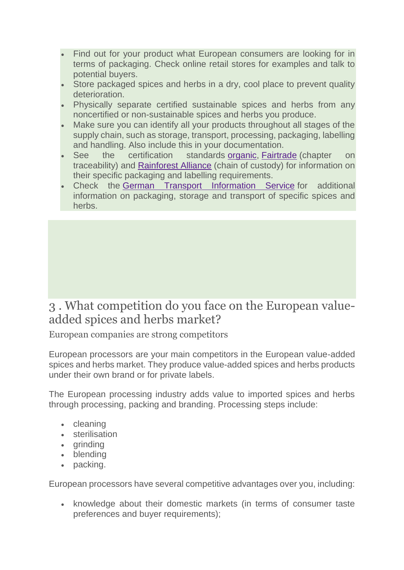- Find out for your product what European consumers are looking for in terms of packaging. Check online retail stores for examples and talk to potential buyers.
- Store packaged spices and herbs in a dry, cool place to prevent quality deterioration.
- Physically separate certified sustainable spices and herbs from any noncertified or non-sustainable spices and herbs you produce.
- Make sure you can identify all your products throughout all stages of the supply chain, such as storage, transport, processing, packaging, labelling and handling. Also include this in your documentation.
- See the certification standards [organic,](https://ec.europa.eu/agriculture/organic/organic-farming/what-is-organic-farming/organic-certification_en) [Fairtrade](http://www.fairtrade.net/standards/our-standards/small-producer-standards.html) (chapter on traceability) and [Rainforest Alliance](http://www.rainforest-alliance.org/business/agriculture/certification/coc) (chain of custody) for information on their specific packaging and labelling requirements.
- Check the [German Transport Information Service](http://www.tis-gdv.de/tis_e/inhalt.html) for additional information on packaging, storage and transport of specific spices and herbs

# 3 . What competition do you face on the European valueadded spices and herbs market?

European companies are strong competitors

European processors are your main competitors in the European value-added spices and herbs market. They produce value-added spices and herbs products under their own brand or for private labels.

The European processing industry adds value to imported spices and herbs through processing, packing and branding. Processing steps include:

- cleaning
- sterilisation
- grinding
- blending
- packing.

European processors have several competitive advantages over you, including:

• knowledge about their domestic markets (in terms of consumer taste preferences and buyer requirements);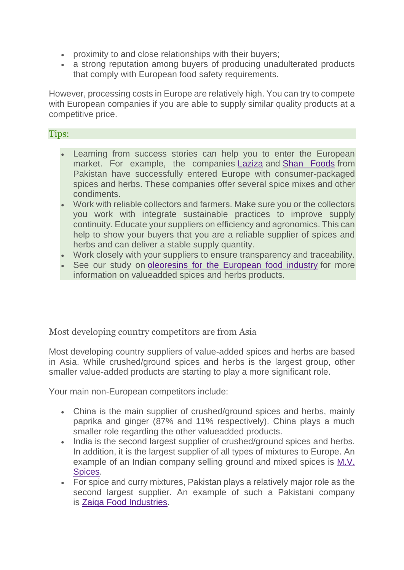- proximity to and close relationships with their buyers;
- a strong reputation among buyers of producing unadulterated products that comply with European food safety requirements.

However, processing costs in Europe are relatively high. You can try to compete with European companies if you are able to supply similar quality products at a competitive price.

#### Tips:

- Learning from success stories can help you to enter the European market. For example, the companies [Laziza](http://www.lazizafoods.com/index.html) and [Shan Foods](http://www.shanfoods.com/) from Pakistan have successfully entered Europe with consumer-packaged spices and herbs. These companies offer several spice mixes and other condiments.
- Work with reliable collectors and farmers. Make sure you or the collectors you work with integrate sustainable practices to improve supply continuity. Educate your suppliers on efficiency and agronomics. This can help to show your buyers that you are a reliable supplier of spices and herbs and can deliver a stable supply quantity.
- Work closely with your suppliers to ensure transparency and traceability.
- See our study on [oleoresins for the European food industry](https://www.cbi.eu/market-information/natural-food-additives/oleoresins/) for more information on valueadded spices and herbs products.

Most developing country competitors are from Asia

Most developing country suppliers of value-added spices and herbs are based in Asia. While crushed/ground spices and herbs is the largest group, other smaller value-added products are starting to play a more significant role.

Your main non-European competitors include:

- China is the main supplier of crushed/ground spices and herbs, mainly paprika and ginger (87% and 11% respectively). China plays a much smaller role regarding the other valueadded products.
- India is the second largest supplier of crushed/ground spices and herbs. In addition, it is the largest supplier of all types of mixtures to Europe. An example of an Indian company selling ground and mixed spices is [M.V.](http://www.mvspices.com/)  [Spices.](http://www.mvspices.com/)
- For spice and curry mixtures, Pakistan plays a relatively major role as the second largest supplier. An example of such a Pakistani company is [Zaiqa Food Industries.](http://www.zaiqaspices.com/item.php?ct=2)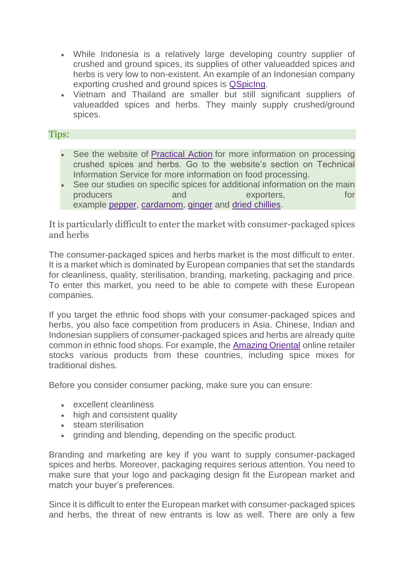- While Indonesia is a relatively large developing country supplier of crushed and ground spices, its supplies of other valueadded spices and herbs is very low to non-existent. An example of an Indonesian company exporting crushed and ground spices is [QSpicIng.](http://q-spicing.com/)
- Vietnam and Thailand are smaller but still significant suppliers of valueadded spices and herbs. They mainly supply crushed/ground spices.

#### Tips:

- See the website of [Practical Action](http://practicalaction.org/) for more information on processing crushed spices and herbs. Go to the website's section on Technical Information Service for more information on food processing.
- See our studies on specific spices for additional information on the main producers and exporters, for example [pepper,](https://www.cbi.eu/market-information/spices-herbs/pepper/) [cardamom,](https://www.cbi.eu/market-information/spices-herbs/cardamom) [ginger](https://www.cbi.eu/market-information/spices-herbs/dried-ginger/europe/) and [dried chillies.](https://www.cbi.eu/market-information/spices-herbs/dried-chillies/)

It is particularly difficult to enter the market with consumer-packaged spices and herbs

The consumer-packaged spices and herbs market is the most difficult to enter. It is a market which is dominated by European companies that set the standards for cleanliness, quality, sterilisation, branding, marketing, packaging and price. To enter this market, you need to be able to compete with these European companies.

If you target the ethnic food shops with your consumer-packaged spices and herbs, you also face competition from producers in Asia. Chinese, Indian and Indonesian suppliers of consumer-packaged spices and herbs are already quite common in ethnic food shops. For example, the [Amazing Oriental](https://www.orientalwebshop.nl/) online retailer stocks various products from these countries, including spice mixes for traditional dishes.

Before you consider consumer packing, make sure you can ensure:

- excellent cleanliness
- high and consistent quality
- steam sterilisation
- grinding and blending, depending on the specific product.

Branding and marketing are key if you want to supply consumer-packaged spices and herbs. Moreover, packaging requires serious attention. You need to make sure that your logo and packaging design fit the European market and match your buyer's preferences.

Since it is difficult to enter the European market with consumer-packaged spices and herbs, the threat of new entrants is low as well. There are only a few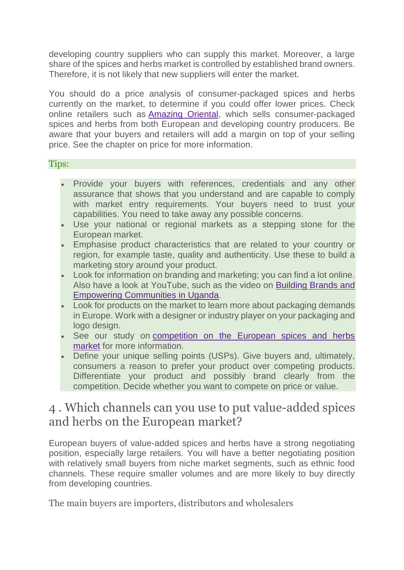developing country suppliers who can supply this market. Moreover, a large share of the spices and herbs market is controlled by established brand owners. Therefore, it is not likely that new suppliers will enter the market.

You should do a price analysis of consumer-packaged spices and herbs currently on the market, to determine if you could offer lower prices. Check online retailers such as [Amazing Oriental,](https://www.orientalwebshop.nl/) which sells consumer-packaged spices and herbs from both European and developing country producers. Be aware that your buyers and retailers will add a margin on top of your selling price. See the chapter on price for more information.

# Tips:

- Provide your buyers with references, credentials and any other assurance that shows that you understand and are capable to comply with market entry requirements. Your buyers need to trust your capabilities. You need to take away any possible concerns.
- Use your national or regional markets as a stepping stone for the European market.
- Emphasise product characteristics that are related to your country or region, for example taste, quality and authenticity. Use these to build a marketing story around your product.
- Look for information on branding and marketing; you can find a lot online. Also have a look at YouTube, such as the video on [Building Brands and](https://www.youtube.com/watch?v=zFHEqwo5IX8)  [Empowering Communities in Uganda.](https://www.youtube.com/watch?v=zFHEqwo5IX8)
- Look for products on the market to learn more about packaging demands in Europe. Work with a designer or industry player on your packaging and logo design.
- See our study on competition on the European spices and herbs [market](https://www.cbi.eu/market-information/spices-herbs/competition/) for more information.
- Define your unique selling points (USPs). Give buyers and, ultimately, consumers a reason to prefer your product over competing products. Differentiate your product and possibly brand clearly from the competition. Decide whether you want to compete on price or value.

# 4 . Which channels can you use to put value-added spices and herbs on the European market?

European buyers of value-added spices and herbs have a strong negotiating position, especially large retailers. You will have a better negotiating position with relatively small buyers from niche market segments, such as ethnic food channels. These require smaller volumes and are more likely to buy directly from developing countries.

The main buyers are importers, distributors and wholesalers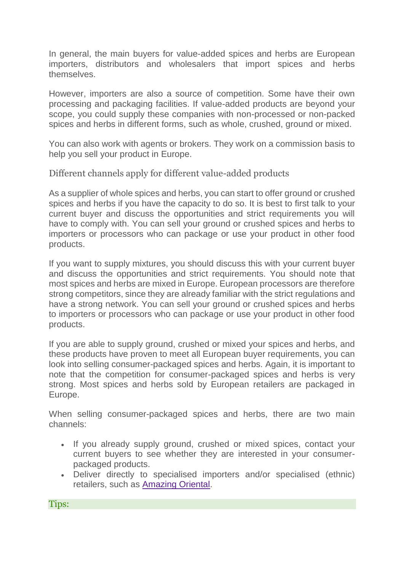In general, the main buyers for value-added spices and herbs are European importers, distributors and wholesalers that import spices and herbs themselves.

However, importers are also a source of competition. Some have their own processing and packaging facilities. If value-added products are beyond your scope, you could supply these companies with non-processed or non-packed spices and herbs in different forms, such as whole, crushed, ground or mixed.

You can also work with agents or brokers. They work on a commission basis to help you sell your product in Europe.

Different channels apply for different value-added products

As a supplier of whole spices and herbs, you can start to offer ground or crushed spices and herbs if you have the capacity to do so. It is best to first talk to your current buyer and discuss the opportunities and strict requirements you will have to comply with. You can sell your ground or crushed spices and herbs to importers or processors who can package or use your product in other food products.

If you want to supply mixtures, you should discuss this with your current buyer and discuss the opportunities and strict requirements. You should note that most spices and herbs are mixed in Europe. European processors are therefore strong competitors, since they are already familiar with the strict regulations and have a strong network. You can sell your ground or crushed spices and herbs to importers or processors who can package or use your product in other food products.

If you are able to supply ground, crushed or mixed your spices and herbs, and these products have proven to meet all European buyer requirements, you can look into selling consumer-packaged spices and herbs. Again, it is important to note that the competition for consumer-packaged spices and herbs is very strong. Most spices and herbs sold by European retailers are packaged in Europe.

When selling consumer-packaged spices and herbs, there are two main channels:

- If you already supply ground, crushed or mixed spices, contact your current buyers to see whether they are interested in your consumerpackaged products.
- Deliver directly to specialised importers and/or specialised (ethnic) retailers, such as [Amazing Oriental.](https://www.orientalwebshop.nl/)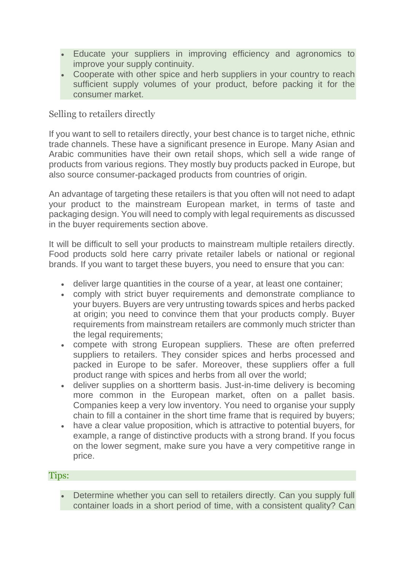- Educate your suppliers in improving efficiency and agronomics to improve your supply continuity.
- Cooperate with other spice and herb suppliers in your country to reach sufficient supply volumes of your product, before packing it for the consumer market.

## Selling to retailers directly

If you want to sell to retailers directly, your best chance is to target niche, ethnic trade channels. These have a significant presence in Europe. Many Asian and Arabic communities have their own retail shops, which sell a wide range of products from various regions. They mostly buy products packed in Europe, but also source consumer-packaged products from countries of origin.

An advantage of targeting these retailers is that you often will not need to adapt your product to the mainstream European market, in terms of taste and packaging design. You will need to comply with legal requirements as discussed in the buyer requirements section above.

It will be difficult to sell your products to mainstream multiple retailers directly. Food products sold here carry private retailer labels or national or regional brands. If you want to target these buyers, you need to ensure that you can:

- deliver large quantities in the course of a year, at least one container;
- comply with strict buyer requirements and demonstrate compliance to your buyers. Buyers are very untrusting towards spices and herbs packed at origin; you need to convince them that your products comply. Buyer requirements from mainstream retailers are commonly much stricter than the legal requirements;
- compete with strong European suppliers. These are often preferred suppliers to retailers. They consider spices and herbs processed and packed in Europe to be safer. Moreover, these suppliers offer a full product range with spices and herbs from all over the world;
- deliver supplies on a shortterm basis. Just-in-time delivery is becoming more common in the European market, often on a pallet basis. Companies keep a very low inventory. You need to organise your supply chain to fill a container in the short time frame that is required by buyers;
- have a clear value proposition, which is attractive to potential buyers, for example, a range of distinctive products with a strong brand. If you focus on the lower segment, make sure you have a very competitive range in price.

#### Tips:

• Determine whether you can sell to retailers directly. Can you supply full container loads in a short period of time, with a consistent quality? Can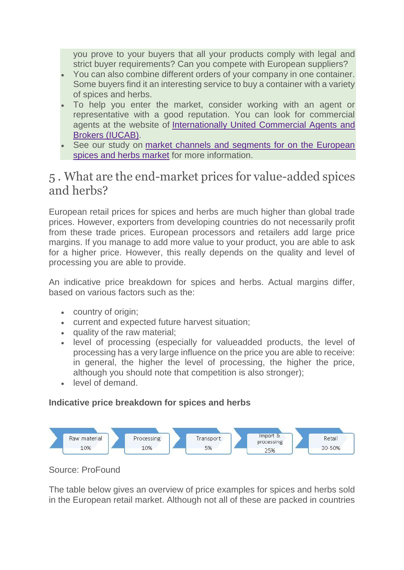you prove to your buyers that all your products comply with legal and strict buyer requirements? Can you compete with European suppliers?

- You can also combine different orders of your company in one container. Some buyers find it an interesting service to buy a container with a variety of spices and herbs.
- To help you enter the market, consider working with an agent or representative with a good reputation. You can look for commercial agents at the website of [Internationally United Commercial Agents and](http://www.come-into-contact.com/index.html)  [Brokers \(IUCAB\).](http://www.come-into-contact.com/index.html)
- See our study on market channels and segments for on the European [spices and herbs market](https://www.cbi.eu/market-information/spices-herbs/channels-segments/) for more information.

# 5 . What are the end-market prices for value-added spices and herbs?

European retail prices for spices and herbs are much higher than global trade prices. However, exporters from developing countries do not necessarily profit from these trade prices. European processors and retailers add large price margins. If you manage to add more value to your product, you are able to ask for a higher price. However, this really depends on the quality and level of processing you are able to provide.

An indicative price breakdown for spices and herbs. Actual margins differ, based on various factors such as the:

- country of origin;
- current and expected future harvest situation;
- quality of the raw material;
- level of processing (especially for valueadded products, the level of processing has a very large influence on the price you are able to receive: in general, the higher the level of processing, the higher the price, although you should note that competition is also stronger);
- level of demand.

## **Indicative price breakdown for spices and herbs**



## Source: ProFound

The table below gives an overview of price examples for spices and herbs sold in the European retail market. Although not all of these are packed in countries